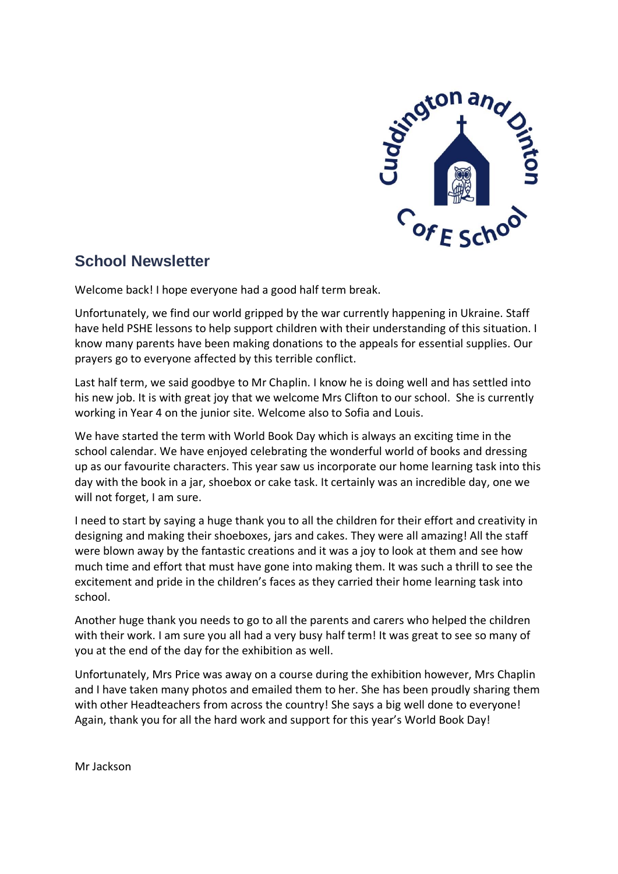

# **School Newsletter**

Welcome back! I hope everyone had a good half term break.

Unfortunately, we find our world gripped by the war currently happening in Ukraine. Staff have held PSHE lessons to help support children with their understanding of this situation. I know many parents have been making donations to the appeals for essential supplies. Our prayers go to everyone affected by this terrible conflict.

Last half term, we said goodbye to Mr Chaplin. I know he is doing well and has settled into his new job. It is with great joy that we welcome Mrs Clifton to our school. She is currently working in Year 4 on the junior site. Welcome also to Sofia and Louis.

We have started the term with World Book Day which is always an exciting time in the school calendar. We have enjoyed celebrating the wonderful world of books and dressing up as our favourite characters. This year saw us incorporate our home learning task into this day with the book in a jar, shoebox or cake task. It certainly was an incredible day, one we will not forget, I am sure.

I need to start by saying a huge thank you to all the children for their effort and creativity in designing and making their shoeboxes, jars and cakes. They were all amazing! All the staff were blown away by the fantastic creations and it was a joy to look at them and see how much time and effort that must have gone into making them. It was such a thrill to see the excitement and pride in the children's faces as they carried their home learning task into school.

Another huge thank you needs to go to all the parents and carers who helped the children with their work. I am sure you all had a very busy half term! It was great to see so many of you at the end of the day for the exhibition as well.

Unfortunately, Mrs Price was away on a course during the exhibition however, Mrs Chaplin and I have taken many photos and emailed them to her. She has been proudly sharing them with other Headteachers from across the country! She says a big well done to everyone! Again, thank you for all the hard work and support for this year's World Book Day!

Mr Jackson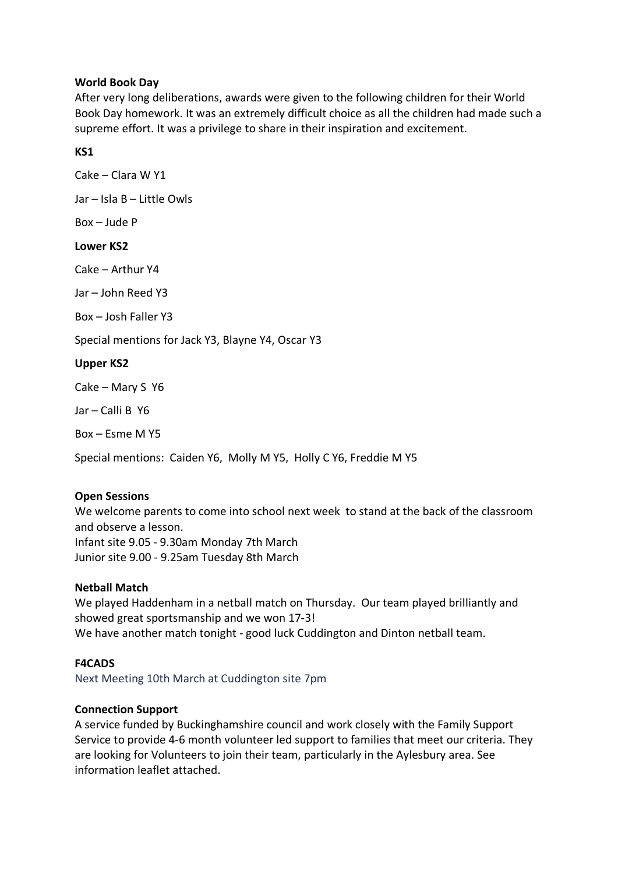# **World Book Day**

After very long deliberations, awards were given to the following children for their World Book Day homework. It was an extremely difficult choice as all the children had made such a supreme effort. It was a privilege to share in their inspiration and excitement.

# **KS1**

Cake – Clara W Y1 Jar – Isla B – Little Owls Box – Jude P **Lower KS2** Cake – Arthur Y4 Jar – John Reed Y3 Box – Josh Faller Y3 Special mentions for Jack Y3, Blayne Y4, Oscar Y3 **Upper KS2** Cake – Mary S Y6 Jar – Calli B Y6 Box – Esme M Y5

Special mentions: Caiden Y6, Molly M Y5, Holly C Y6, Freddie M Y5

# **Open Sessions**

We welcome parents to come into school next week to stand at the back of the classroom and observe a lesson. Infant site 9.05 - 9.30am Monday 7th March Junior site 9.00 - 9.25am Tuesday 8th March

## **Netball Match**

We played Haddenham in a netball match on Thursday. Our team played brilliantly and showed great sportsmanship and we won 17-3! We have another match tonight - good luck Cuddington and Dinton netball team.

## **F4CADS**

Next Meeting 10th March at Cuddington site 7pm

## **Connection Support**

A service funded by Buckinghamshire council and work closely with the Family Support Service to provide 4-6 month volunteer led support to families that meet our criteria. They are looking for Volunteers to join their team, particularly in the Aylesbury area. See information leaflet attached.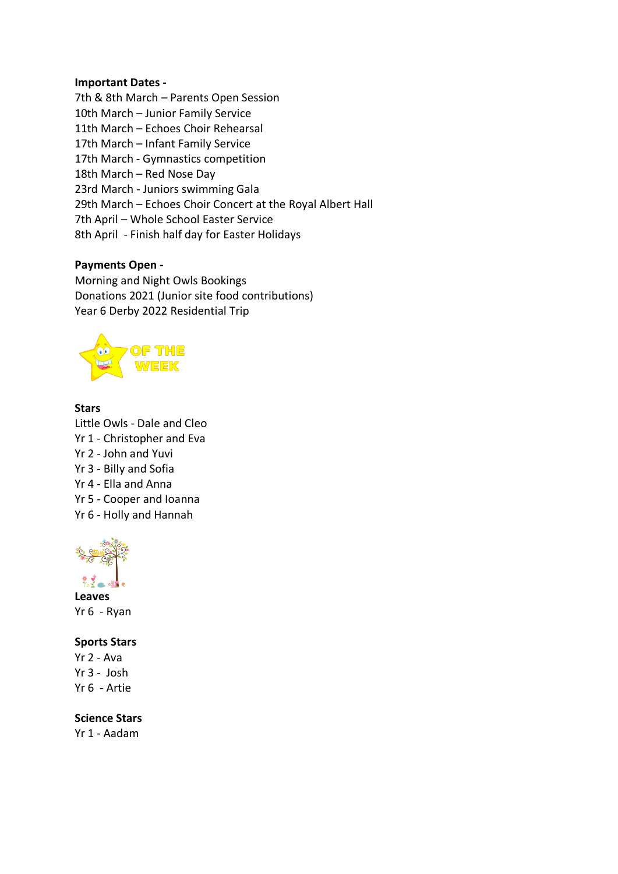#### **Important Dates -**

7th & 8th March – Parents Open Session 10th March – Junior Family Service 11th March – Echoes Choir Rehearsal 17th March – Infant Family Service 17th March - Gymnastics competition 18th March – Red Nose Day 23rd March - Juniors swimming Gala 29th March – Echoes Choir Concert at the Royal Albert Hall 7th April – Whole School Easter Service 8th April - Finish half day for Easter Holidays

## **Payments Open -**

Morning and Night Owls Bookings Donations 2021 (Junior site food contributions) Year 6 Derby 2022 Residential Trip



## **Stars**

Little Owls - Dale and Cleo Yr 1 - Christopher and Eva Yr 2 - John and Yuvi Yr 3 - Billy and Sofia Yr 4 - Ella and Anna Yr 5 - Cooper and Ioanna Yr 6 - Holly and Hannah



**Leaves** Yr 6 - Ryan

## **Sports Stars**

Yr 2 - Ava Yr 3 - Josh Yr 6 - Artie

#### **Science Stars**

Yr 1 - Aadam